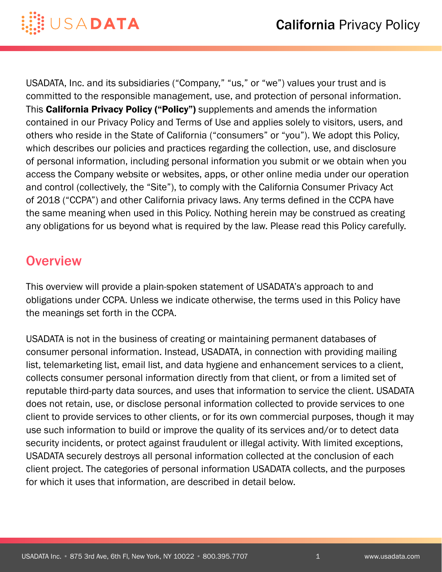

USADATA, Inc. and its subsidiaries ("Company," "us," or "we") values your trust and is committed to the responsible management, use, and protection of personal information. This California Privacy Policy ("Policy") supplements and amends the information contained in our Privacy Policy and Terms of Use and applies solely to visitors, users, and others who reside in the State of California ("consumers" or "you"). We adopt this Policy, which describes our policies and practices regarding the collection, use, and disclosure of personal information, including personal information you submit or we obtain when you access the Company website or websites, apps, or other online media under our operation and control (collectively, the "Site"), to comply with the California Consumer Privacy Act of 2018 ("CCPA") and other California privacy laws. Any terms defined in the CCPA have the same meaning when used in this Policy. Nothing herein may be construed as creating any obligations for us beyond what is required by the law. Please read this Policy carefully.

### **Overview**

This overview will provide a plain-spoken statement of USADATA's approach to and obligations under CCPA. Unless we indicate otherwise, the terms used in this Policy have the meanings set forth in the CCPA.

USADATA is not in the business of creating or maintaining permanent databases of consumer personal information. Instead, USADATA, in connection with providing mailing list, telemarketing list, email list, and data hygiene and enhancement services to a client, collects consumer personal information directly from that client, or from a limited set of reputable third-party data sources, and uses that information to service the client. USADATA does not retain, use, or disclose personal information collected to provide services to one client to provide services to other clients, or for its own commercial purposes, though it may use such information to build or improve the quality of its services and/or to detect data security incidents, or protect against fraudulent or illegal activity. With limited exceptions, USADATA securely destroys all personal information collected at the conclusion of each client project. The categories of personal information USADATA collects, and the purposes for which it uses that information, are described in detail below.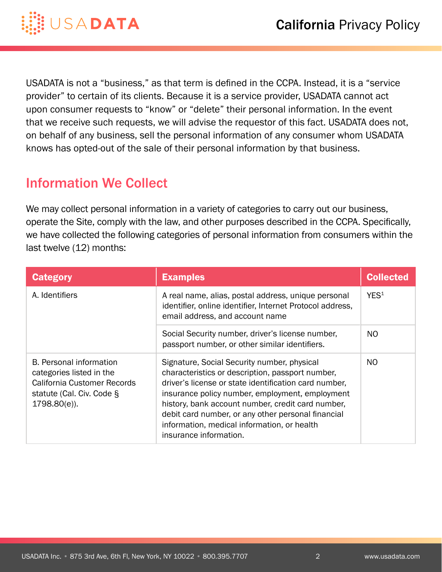

USADATA is not a "business," as that term is defined in the CCPA. Instead, it is a "service provider" to certain of its clients. Because it is a service provider, USADATA cannot act upon consumer requests to "know" or "delete" their personal information. In the event that we receive such requests, we will advise the requestor of this fact. USADATA does not, on behalf of any business, sell the personal information of any consumer whom USADATA knows has opted-out of the sale of their personal information by that business.

# Information We Collect

We may collect personal information in a variety of categories to carry out our business, operate the Site, comply with the law, and other purposes described in the CCPA. Specifically, we have collected the following categories of personal information from consumers within the last twelve (12) months:

| <b>Category</b>                                                                                                                           | <b>Examples</b>                                                                                                                                                                                                                                                                                                                                                                                 | <b>Collected</b> |
|-------------------------------------------------------------------------------------------------------------------------------------------|-------------------------------------------------------------------------------------------------------------------------------------------------------------------------------------------------------------------------------------------------------------------------------------------------------------------------------------------------------------------------------------------------|------------------|
| A. Identifiers                                                                                                                            | A real name, alias, postal address, unique personal<br>identifier, online identifier, Internet Protocol address,<br>email address, and account name                                                                                                                                                                                                                                             | YES <sup>1</sup> |
|                                                                                                                                           | Social Security number, driver's license number,<br>passport number, or other similar identifiers.                                                                                                                                                                                                                                                                                              | N <sub>O</sub>   |
| <b>B.</b> Personal information<br>categories listed in the<br>California Customer Records<br>statute (Cal. Civ. Code §<br>$1798.80(e)$ ). | Signature, Social Security number, physical<br>characteristics or description, passport number,<br>driver's license or state identification card number,<br>insurance policy number, employment, employment<br>history, bank account number, credit card number,<br>debit card number, or any other personal financial<br>information, medical information, or health<br>insurance information. | N <sub>O</sub>   |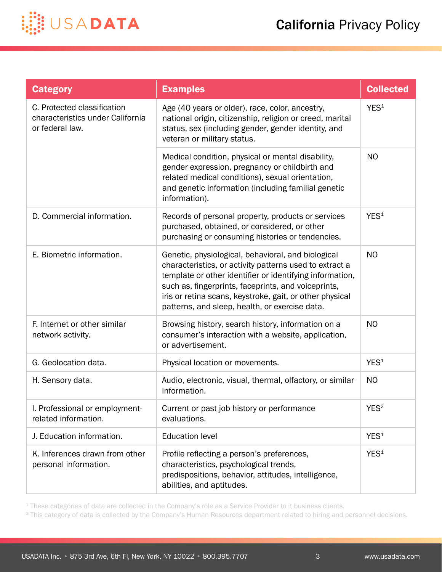

| <b>Category</b>                                                                    | <b>Examples</b>                                                                                                                                                                                                                                                                                                                                | <b>Collected</b> |
|------------------------------------------------------------------------------------|------------------------------------------------------------------------------------------------------------------------------------------------------------------------------------------------------------------------------------------------------------------------------------------------------------------------------------------------|------------------|
| C. Protected classification<br>characteristics under California<br>or federal law. | Age (40 years or older), race, color, ancestry,<br>national origin, citizenship, religion or creed, marital<br>status, sex (including gender, gender identity, and<br>veteran or military status.                                                                                                                                              | YES <sup>1</sup> |
|                                                                                    | Medical condition, physical or mental disability,<br>gender expression, pregnancy or childbirth and<br>related medical conditions), sexual orientation,<br>and genetic information (including familial genetic<br>information).                                                                                                                | <b>NO</b>        |
| D. Commercial information.                                                         | Records of personal property, products or services<br>purchased, obtained, or considered, or other<br>purchasing or consuming histories or tendencies.                                                                                                                                                                                         | YES <sup>1</sup> |
| E. Biometric information.                                                          | Genetic, physiological, behavioral, and biological<br>characteristics, or activity patterns used to extract a<br>template or other identifier or identifying information,<br>such as, fingerprints, faceprints, and voiceprints,<br>iris or retina scans, keystroke, gait, or other physical<br>patterns, and sleep, health, or exercise data. | <b>NO</b>        |
| F. Internet or other similar<br>network activity.                                  | Browsing history, search history, information on a<br>consumer's interaction with a website, application,<br>or advertisement.                                                                                                                                                                                                                 | <b>NO</b>        |
| G. Geolocation data.                                                               | Physical location or movements.                                                                                                                                                                                                                                                                                                                | YES <sup>1</sup> |
| H. Sensory data.                                                                   | Audio, electronic, visual, thermal, olfactory, or similar<br>information.                                                                                                                                                                                                                                                                      | <b>NO</b>        |
| I. Professional or employment-<br>related information.                             | Current or past job history or performance<br>evaluations.                                                                                                                                                                                                                                                                                     | YES <sup>2</sup> |
| J. Education information.                                                          | <b>Education level</b>                                                                                                                                                                                                                                                                                                                         | YES <sup>1</sup> |
| K. Inferences drawn from other<br>personal information.                            | Profile reflecting a person's preferences,<br>characteristics, psychological trends,<br>predispositions, behavior, attitudes, intelligence,<br>abilities, and aptitudes.                                                                                                                                                                       | YES <sup>1</sup> |

<sup>1</sup> These categories of data are collected in the Company's role as a Service Provider to it business clients.

<sup>2</sup> This category of data is collected by the Company's Human Resources department related to hiring and personnel decisions.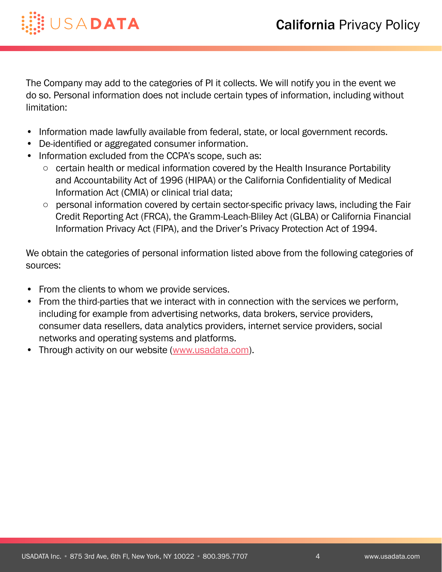

The Company may add to the categories of PI it collects. We will notify you in the event we do so. Personal information does not include certain types of information, including without limitation:

- Information made lawfully available from federal, state, or local government records.
- De-identified or aggregated consumer information.
- Information excluded from the CCPA's scope, such as:
	- certain health or medical information covered by the Health Insurance Portability and Accountability Act of 1996 (HIPAA) or the California Confidentiality of Medical Information Act (CMIA) or clinical trial data;
	- personal information covered by certain sector-specific privacy laws, including the Fair Credit Reporting Act (FRCA), the Gramm-Leach-Bliley Act (GLBA) or California Financial Information Privacy Act (FIPA), and the Driver's Privacy Protection Act of 1994.

We obtain the categories of personal information listed above from the following categories of sources:

- From the clients to whom we provide services.
- From the third-parties that we interact with in connection with the services we perform, including for example from advertising networks, data brokers, service providers, consumer data resellers, data analytics providers, internet service providers, social networks and operating systems and platforms.
- Through activity on our website [\(www.usadata.com\)](https://www.usadata.com).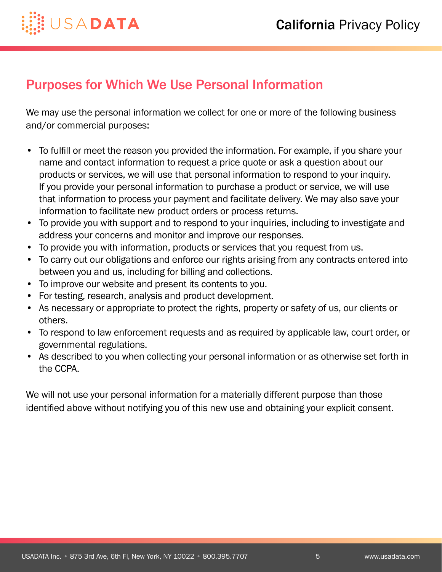

### Purposes for Which We Use Personal Information

We may use the personal information we collect for one or more of the following business and/or commercial purposes:

- To fulfill or meet the reason you provided the information. For example, if you share your name and contact information to request a price quote or ask a question about our products or services, we will use that personal information to respond to your inquiry. If you provide your personal information to purchase a product or service, we will use that information to process your payment and facilitate delivery. We may also save your information to facilitate new product orders or process returns.
- To provide you with support and to respond to your inquiries, including to investigate and address your concerns and monitor and improve our responses.
- To provide you with information, products or services that you request from us.
- To carry out our obligations and enforce our rights arising from any contracts entered into between you and us, including for billing and collections.
- To improve our website and present its contents to you.
- For testing, research, analysis and product development.
- As necessary or appropriate to protect the rights, property or safety of us, our clients or others.
- To respond to law enforcement requests and as required by applicable law, court order, or governmental regulations.
- As described to you when collecting your personal information or as otherwise set forth in the CCPA.

We will not use your personal information for a materially different purpose than those identified above without notifying you of this new use and obtaining your explicit consent.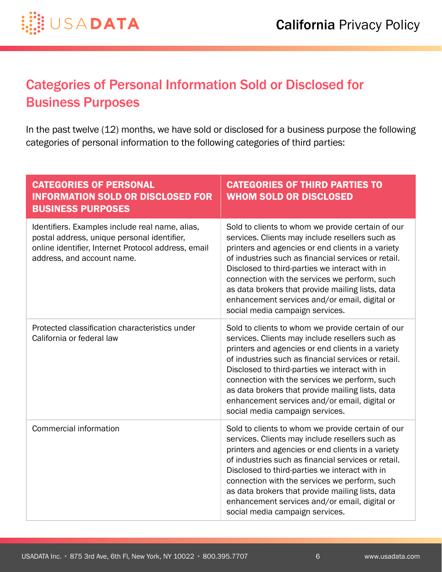

# Categories of Personal Information Sold or Disclosed for Business Purposes

In the past twelve (12) months, we have sold or disclosed for a business purpose the following categories of personal information to the following categories of third parties:

| <b>CATEGORIES OF PERSONAL</b><br><b>INFORMATION SOLD OR DISCLOSED FOR</b><br><b>BUSINESS PURPOSES</b>                                                                               | <b>CATEGORIES OF THIRD PARTIES TO</b><br><b>WHOM SOLD OR DISCLOSED</b>                                                                                                                                                                                                                                                                                                                                                                                      |
|-------------------------------------------------------------------------------------------------------------------------------------------------------------------------------------|-------------------------------------------------------------------------------------------------------------------------------------------------------------------------------------------------------------------------------------------------------------------------------------------------------------------------------------------------------------------------------------------------------------------------------------------------------------|
| Identifiers. Examples include real name, alias,<br>postal address, unique personal identifier,<br>online identifier, Internet Protocol address, email<br>address, and account name. | Sold to clients to whom we provide certain of our<br>services. Clients may include resellers such as<br>printers and agencies or end clients in a variety<br>of industries such as financial services or retail.<br>Disclosed to third-parties we interact with in<br>connection with the services we perform, such<br>as data brokers that provide mailing lists, data<br>enhancement services and/or email, digital or<br>social media campaign services. |
| Protected classification characteristics under<br>California or federal law                                                                                                         | Sold to clients to whom we provide certain of our<br>services. Clients may include resellers such as<br>printers and agencies or end clients in a variety<br>of industries such as financial services or retail.<br>Disclosed to third-parties we interact with in<br>connection with the services we perform, such<br>as data brokers that provide mailing lists, data<br>enhancement services and/or email, digital or<br>social media campaign services. |
| <b>Commercial information</b>                                                                                                                                                       | Sold to clients to whom we provide certain of our<br>services. Clients may include resellers such as<br>printers and agencies or end clients in a variety<br>of industries such as financial services or retail.<br>Disclosed to third-parties we interact with in<br>connection with the services we perform, such<br>as data brokers that provide mailing lists, data<br>enhancement services and/or email, digital or<br>social media campaign services. |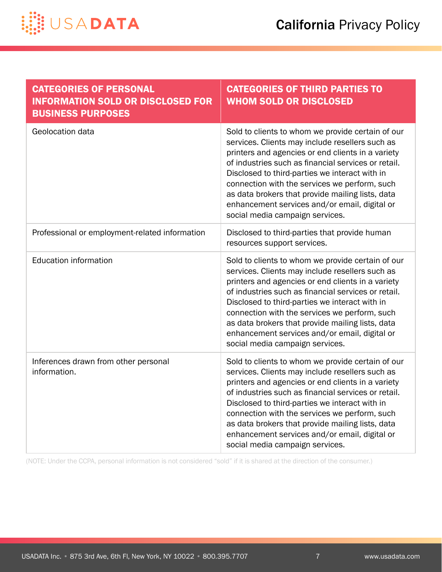

| <b>CATEGORIES OF PERSONAL</b><br><b>INFORMATION SOLD OR DISCLOSED FOR</b><br><b>BUSINESS PURPOSES</b> | <b>CATEGORIES OF THIRD PARTIES TO</b><br><b>WHOM SOLD OR DISCLOSED</b>                                                                                                                                                                                                                                                                                                                                                                                      |
|-------------------------------------------------------------------------------------------------------|-------------------------------------------------------------------------------------------------------------------------------------------------------------------------------------------------------------------------------------------------------------------------------------------------------------------------------------------------------------------------------------------------------------------------------------------------------------|
| Geolocation data                                                                                      | Sold to clients to whom we provide certain of our<br>services. Clients may include resellers such as<br>printers and agencies or end clients in a variety<br>of industries such as financial services or retail.<br>Disclosed to third-parties we interact with in<br>connection with the services we perform, such<br>as data brokers that provide mailing lists, data<br>enhancement services and/or email, digital or<br>social media campaign services. |
| Professional or employment-related information                                                        | Disclosed to third-parties that provide human<br>resources support services.                                                                                                                                                                                                                                                                                                                                                                                |
| <b>Education information</b>                                                                          | Sold to clients to whom we provide certain of our<br>services. Clients may include resellers such as<br>printers and agencies or end clients in a variety<br>of industries such as financial services or retail.<br>Disclosed to third-parties we interact with in<br>connection with the services we perform, such<br>as data brokers that provide mailing lists, data<br>enhancement services and/or email, digital or<br>social media campaign services. |
| Inferences drawn from other personal<br>information.                                                  | Sold to clients to whom we provide certain of our<br>services. Clients may include resellers such as<br>printers and agencies or end clients in a variety<br>of industries such as financial services or retail.<br>Disclosed to third-parties we interact with in<br>connection with the services we perform, such<br>as data brokers that provide mailing lists, data<br>enhancement services and/or email, digital or<br>social media campaign services. |

(NOTE: Under the CCPA, personal information is not considered "sold" if it is shared at the direction of the consumer.)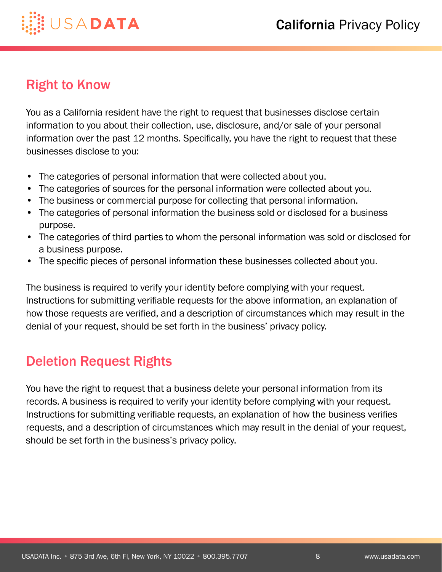

## **Right to Know**

You as a California resident have the right to request that businesses disclose certain information to you about their collection, use, disclosure, and/or sale of your personal information over the past 12 months. Specifically, you have the right to request that these businesses disclose to you:

- The categories of personal information that were collected about you.
- The categories of sources for the personal information were collected about you.
- The business or commercial purpose for collecting that personal information.
- The categories of personal information the business sold or disclosed for a business purpose.
- The categories of third parties to whom the personal information was sold or disclosed for a business purpose.
- The specific pieces of personal information these businesses collected about you.

The business is required to verify your identity before complying with your request. Instructions for submitting verifiable requests for the above information, an explanation of how those requests are verified, and a description of circumstances which may result in the denial of your request, should be set forth in the business' privacy policy.

## Deletion Request Rights

You have the right to request that a business delete your personal information from its records. A business is required to verify your identity before complying with your request. Instructions for submitting verifiable requests, an explanation of how the business verifies requests, and a description of circumstances which may result in the denial of your request, should be set forth in the business's privacy policy.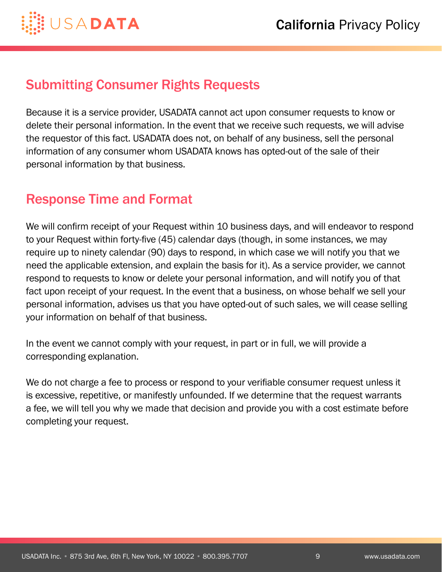

#### Submitting Consumer Rights Requests

Because it is a service provider, USADATA cannot act upon consumer requests to know or delete their personal information. In the event that we receive such requests, we will advise the requestor of this fact. USADATA does not, on behalf of any business, sell the personal information of any consumer whom USADATA knows has opted-out of the sale of their personal information by that business.

## Response Time and Format

We will confirm receipt of your Request within 10 business days, and will endeavor to respond to your Request within forty-five (45) calendar days (though, in some instances, we may require up to ninety calendar (90) days to respond, in which case we will notify you that we need the applicable extension, and explain the basis for it). As a service provider, we cannot respond to requests to know or delete your personal information, and will notify you of that fact upon receipt of your request. In the event that a business, on whose behalf we sell your personal information, advises us that you have opted-out of such sales, we will cease selling your information on behalf of that business.

In the event we cannot comply with your request, in part or in full, we will provide a corresponding explanation.

We do not charge a fee to process or respond to your verifiable consumer request unless it is excessive, repetitive, or manifestly unfounded. If we determine that the request warrants a fee, we will tell you why we made that decision and provide you with a cost estimate before completing your request.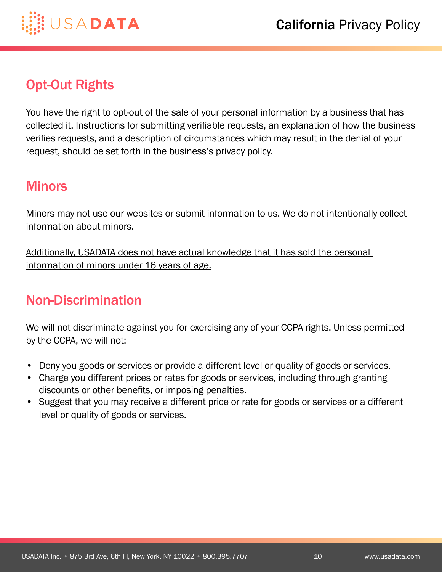



### Opt-Out Rights

You have the right to opt-out of the sale of your personal information by a business that has collected it. Instructions for submitting verifiable requests, an explanation of how the business verifies requests, and a description of circumstances which may result in the denial of your request, should be set forth in the business's privacy policy.

#### **Minors**

Minors may not use our websites or submit information to us. We do not intentionally collect information about minors.

Additionally, USADATA does not have actual knowledge that it has sold the personal information of minors under 16 years of age.

## Non-Discrimination

We will not discriminate against you for exercising any of your CCPA rights. Unless permitted by the CCPA, we will not:

- Deny you goods or services or provide a different level or quality of goods or services.
- Charge you different prices or rates for goods or services, including through granting discounts or other benefits, or imposing penalties.
- Suggest that you may receive a different price or rate for goods or services or a different level or quality of goods or services.